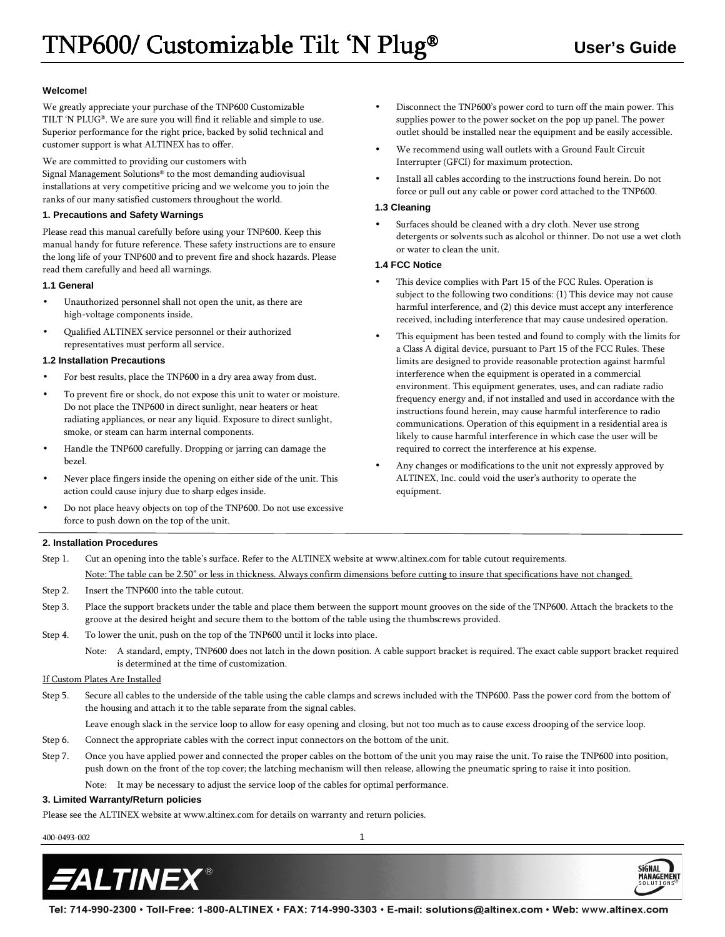## **Welcome!**

We greatly appreciate your purchase of the TNP600 Customizable TILT 'N PLUG®. We are sure you will find it reliable and simple to use. Superior performance for the right price, backed by solid technical and customer support is what ALTINEX has to offer.

We are committed to providing our customers with Signal Management Solutions® to the most demanding audiovisual installations at very competitive pricing and we welcome you to join the ranks of our many satisfied customers throughout the world.

#### **1. Precautions and Safety Warnings**

Please read this manual carefully before using your TNP600. Keep this manual handy for future reference. These safety instructions are to ensure the long life of your TNP600 and to prevent fire and shock hazards. Please read them carefully and heed all warnings.

#### **1.1 General**

- Unauthorized personnel shall not open the unit, as there are high-voltage components inside.
- Qualified ALTINEX service personnel or their authorized representatives must perform all service.

#### **1.2 Installation Precautions**

- For best results, place the TNP600 in a dry area away from dust.
- To prevent fire or shock, do not expose this unit to water or moisture. Do not place the TNP600 in direct sunlight, near heaters or heat radiating appliances, or near any liquid. Exposure to direct sunlight, smoke, or steam can harm internal components.
- Handle the TNP600 carefully. Dropping or jarring can damage the bezel.
- Never place fingers inside the opening on either side of the unit. This action could cause injury due to sharp edges inside.
- Do not place heavy objects on top of the TNP600. Do not use excessive force to push down on the top of the unit.
- Disconnect the TNP600's power cord to turn off the main power. This supplies power to the power socket on the pop up panel. The power outlet should be installed near the equipment and be easily accessible.
- We recommend using wall outlets with a Ground Fault Circuit Interrupter (GFCI) for maximum protection.
- Install all cables according to the instructions found herein. Do not force or pull out any cable or power cord attached to the TNP600.

#### **1.3 Cleaning**

Surfaces should be cleaned with a dry cloth. Never use strong detergents or solvents such as alcohol or thinner. Do not use a wet cloth or water to clean the unit.

#### **1.4 FCC Notice**

- This device complies with Part 15 of the FCC Rules. Operation is subject to the following two conditions: (1) This device may not cause harmful interference, and (2) this device must accept any interference received, including interference that may cause undesired operation.
- This equipment has been tested and found to comply with the limits for a Class A digital device, pursuant to Part 15 of the FCC Rules. These limits are designed to provide reasonable protection against harmful interference when the equipment is operated in a commercial environment. This equipment generates, uses, and can radiate radio frequency energy and, if not installed and used in accordance with the instructions found herein, may cause harmful interference to radio communications. Operation of this equipment in a residential area is likely to cause harmful interference in which case the user will be required to correct the interference at his expense.
- Any changes or modifications to the unit not expressly approved by ALTINEX, Inc. could void the user's authority to operate the equipment.

#### **2. Installation Procedures**

- Step 1. Cut an opening into the table's surface. Refer to the ALTINEX website at www.altinex.com for table cutout requirements. Note: The table can be 2.50" or less in thickness. Always confirm dimensions before cutting to insure that specifications have not changed.
- Step 2. Insert the TNP600 into the table cutout.
- Step 3. Place the support brackets under the table and place them between the support mount grooves on the side of the TNP600. Attach the brackets to the groove at the desired height and secure them to the bottom of the table using the thumbscrews provided.
- Step 4. To lower the unit, push on the top of the TNP600 until it locks into place.

Note: A standard, empty, TNP600 does not latch in the down position. A cable support bracket is required. The exact cable support bracket required is determined at the time of customization.

## If Custom Plates Are Installed

Step 5. Secure all cables to the underside of the table using the cable clamps and screws included with the TNP600. Pass the power cord from the bottom of the housing and attach it to the table separate from the signal cables.

Leave enough slack in the service loop to allow for easy opening and closing, but not too much as to cause excess drooping of the service loop.

- Step 6. Connect the appropriate cables with the correct input connectors on the bottom of the unit.
- Step 7. Once you have applied power and connected the proper cables on the bottom of the unit you may raise the unit. To raise the TNP600 into position, push down on the front of the top cover; the latching mechanism will then release, allowing the pneumatic spring to raise it into position.

Note: It may be necessary to adjust the service loop of the cables for optimal performance.

## **3. Limited Warranty/Return policies**

Please see the ALTINEX website at www.altinex.com for details on warranty and return policies.

400-0493-002 1



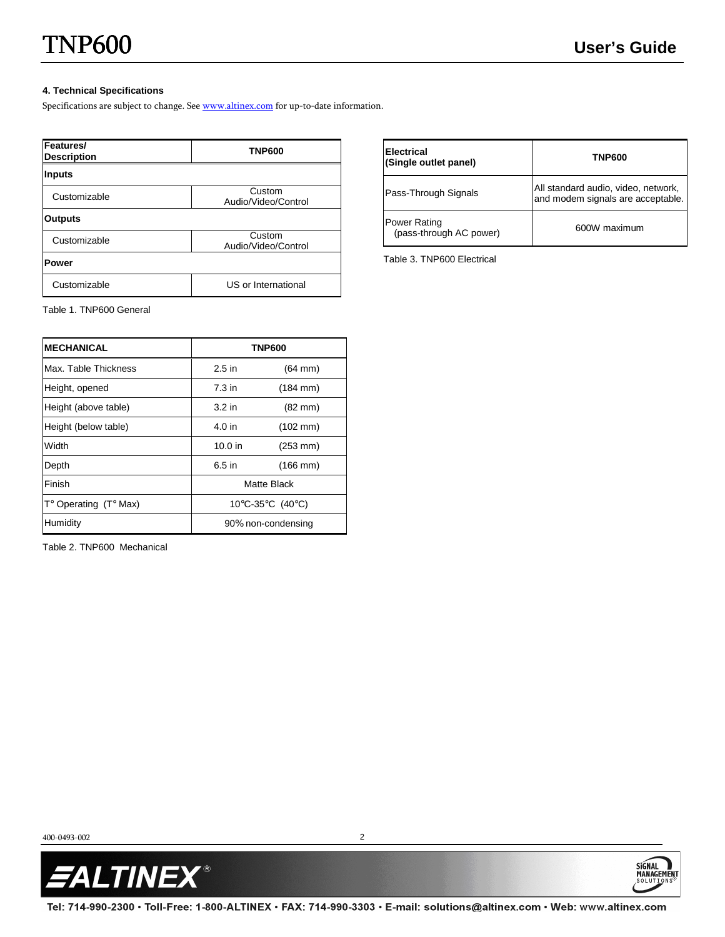SIGNAL<sup>1</sup>

MANAGEMEN

## **4. Technical Specifications**

Specifications are subject to change. See www.altinex.com for up-to-date information.

| Features/<br><b>Description</b> | <b>TNP600</b>                 |  |
|---------------------------------|-------------------------------|--|
| <b>Inputs</b>                   |                               |  |
| Customizable                    | Custom<br>Audio/Video/Control |  |
| <b>Outputs</b>                  |                               |  |
| Customizable                    | Custom<br>Audio/Video/Control |  |
| <b>Power</b>                    |                               |  |
| Customizable                    | US or International           |  |

**Electrical (Single outlet panel) TNP600**  Pass-Through Signals **All standard audio, video, network,**  $\frac{1}{2}$  and modem signals are acceptable and modem signals are acceptable. Power Rating ower Rating<br>(pass-through AC power) 600W maximum

Table 3. TNP600 Electrical

Table 1. TNP600 General

| <b>MECHANICAL</b>              | <b>TNP600</b>      |                      |
|--------------------------------|--------------------|----------------------|
| Max. Table Thickness           | $2.5$ in           | $(64$ mm $)$         |
| Height, opened                 | $7.3$ in           | $(184 \, \text{mm})$ |
| Height (above table)           | $3.2$ in           | $(82 \text{ mm})$    |
| Height (below table)           | 4.0 in             | $(102 \, \text{mm})$ |
| Width                          | $10.0$ in          | $(253 \, \text{mm})$ |
| Depth                          | 6.5 in             | $(166 \, \text{mm})$ |
| Finish                         | Matte Black        |                      |
| $T^{\circ}$ Operating (T° Max) | 10°C-35°C (40°C)   |                      |
| Humidity                       | 90% non-condensing |                      |

Table 2. TNP600 Mechanical

400-0493-002 2

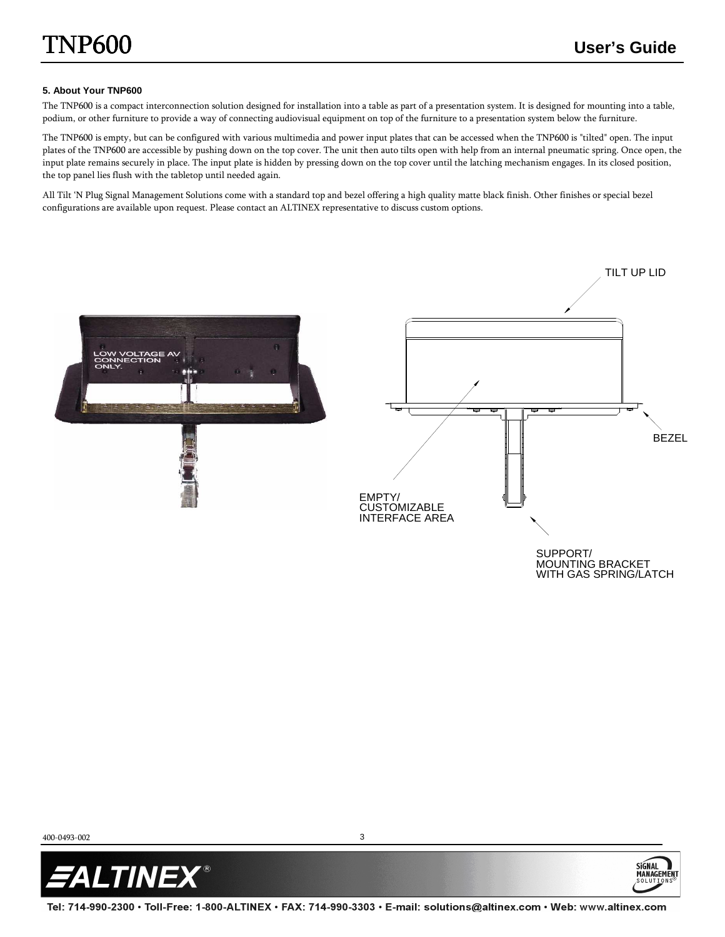**SIGNAL** 

MANAGEMI

### **5. About Your TNP600**

The TNP600 is a compact interconnection solution designed for installation into a table as part of a presentation system. It is designed for mounting into a table, podium, or other furniture to provide a way of connecting audiovisual equipment on top of the furniture to a presentation system below the furniture.

The TNP600 is empty, but can be configured with various multimedia and power input plates that can be accessed when the TNP600 is "tilted" open. The input plates of the TNP600 are accessible by pushing down on the top cover. The unit then auto tilts open with help from an internal pneumatic spring. Once open, the input plate remains securely in place. The input plate is hidden by pressing down on the top cover until the latching mechanism engages. In its closed position, the top panel lies flush with the tabletop until needed again.

All Tilt 'N Plug Signal Management Solutions come with a standard top and bezel offering a high quality matte black finish. Other finishes or special bezel configurations are available upon request. Please contact an ALTINEX representative to discuss custom options.



400-0493-002 3



Tel: 714-990-2300 • Toll-Free: 1-800-ALTINEX • FAX: 714-990-3303 • E-mail: solutions@altinex.com • Web: www.altinex.com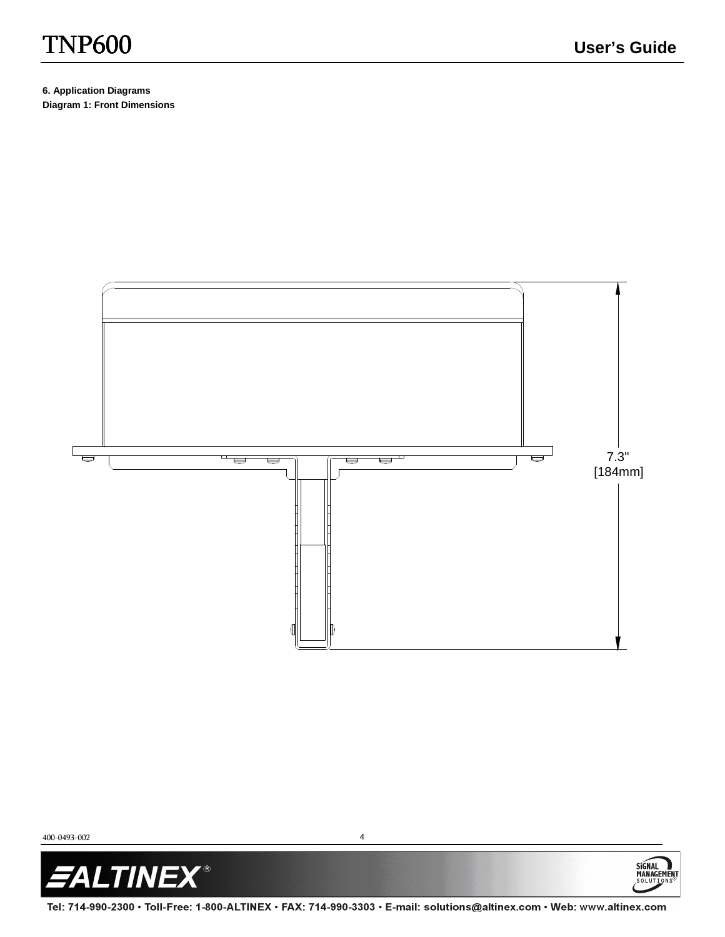# TNP600 **User's Guide**

SIGNAL<br>MANAGEMENT

**6. Application Diagrams Diagram 1: Front Dimensions** 



400-0493-002 4



Tel: 714-990-2300 · Toll-Free: 1-800-ALTINEX · FAX: 714-990-3303 · E-mail: solutions@altinex.com · Web: www.altinex.com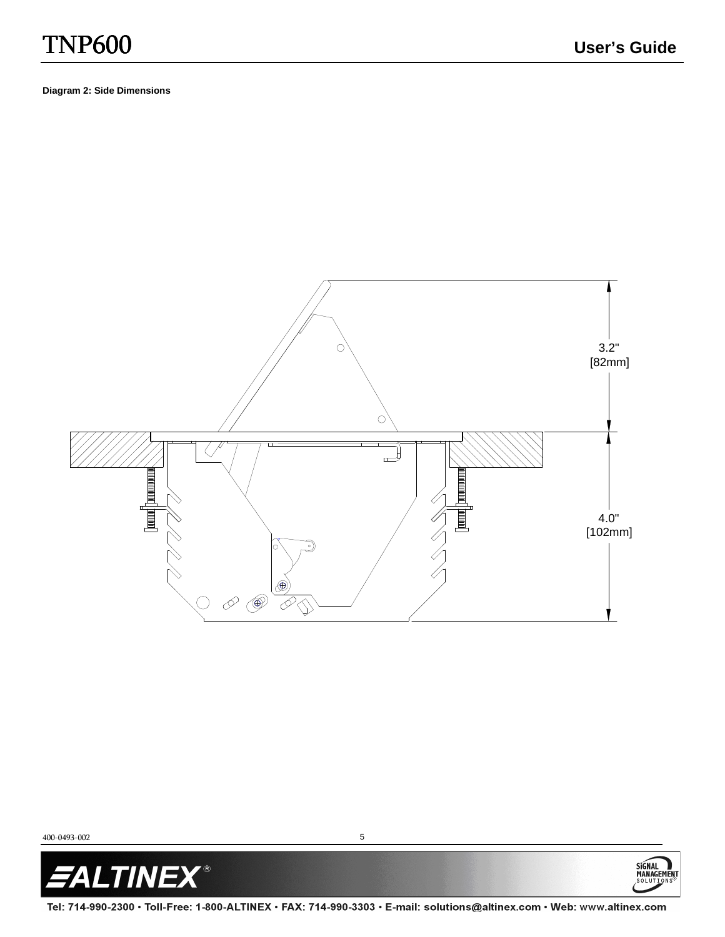SIGNAL<br>MANAGEMENT

**Diagram 2: Side Dimensions** 



400-0493-002 5



Tel: 714-990-2300 · Toll-Free: 1-800-ALTINEX · FAX: 714-990-3303 · E-mail: solutions@altinex.com · Web: www.altinex.com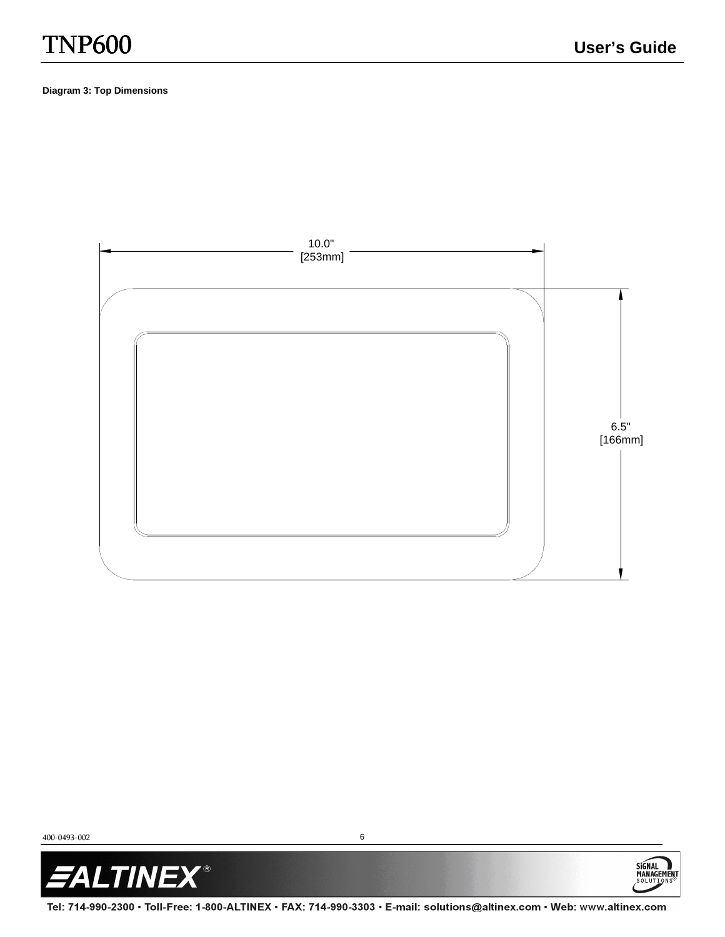SIGNAL<br>MANAGEMENT

## **Diagram 3: Top Dimensions**



400-0493-002 6



Tel: 714-990-2300 · Toll-Free: 1-800-ALTINEX · FAX: 714-990-3303 · E-mail: solutions@altinex.com · Web: www.altinex.com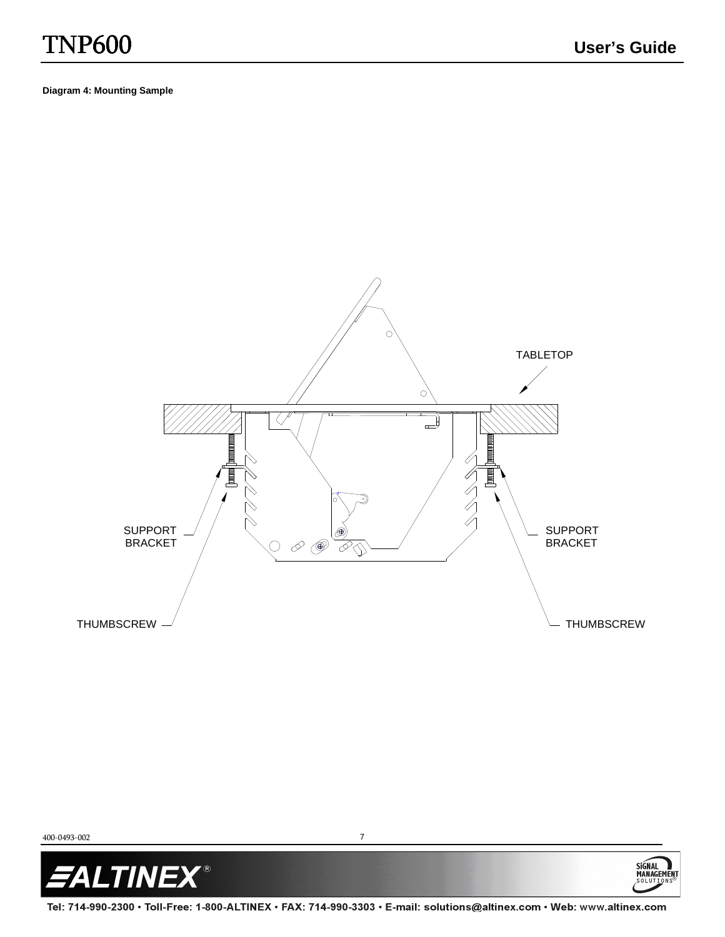SIGNAL<br>MANAGEMENT

**Diagram 4: Mounting Sample** 





Tel: 714-990-2300 • Toll-Free: 1-800-ALTINEX • FAX: 714-990-3303 • E-mail: solutions@altinex.com • Web: www.altinex.com